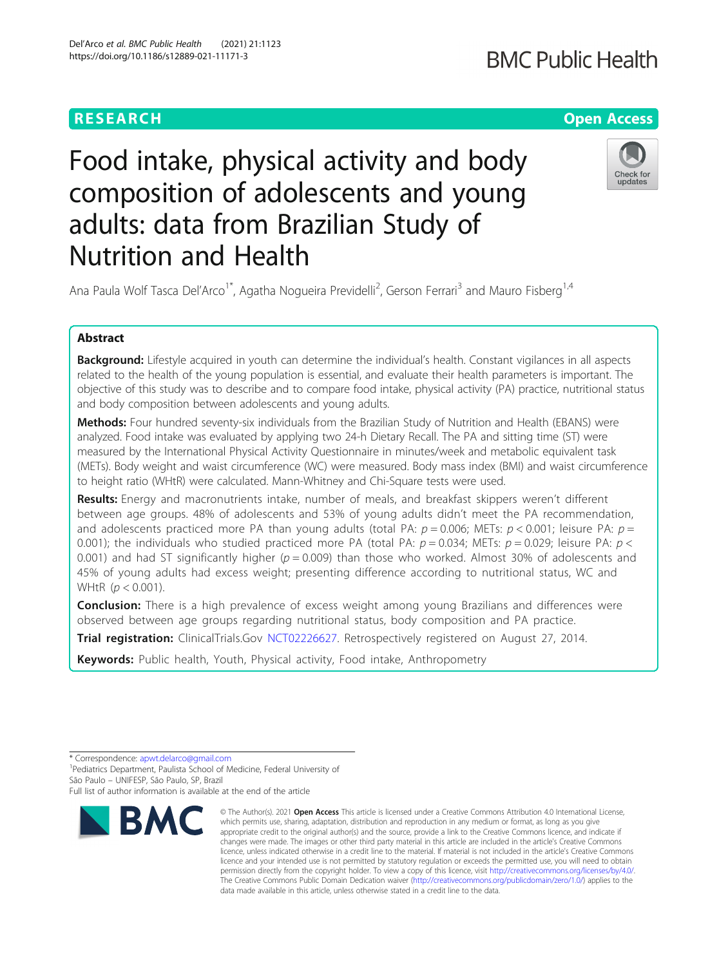## **RESEARCH CHE Open Access**

# Food intake, physical activity and body composition of adolescents and young adults: data from Brazilian Study of Nutrition and Health



Ana Paula Wolf Tasca Del'Arco<sup>1\*</sup>, Agatha Nogueira Previdelli<sup>2</sup>, Gerson Ferrari<sup>3</sup> and Mauro Fisberg<sup>1,4</sup>

## Abstract

Background: Lifestyle acquired in youth can determine the individual's health. Constant vigilances in all aspects related to the health of the young population is essential, and evaluate their health parameters is important. The objective of this study was to describe and to compare food intake, physical activity (PA) practice, nutritional status and body composition between adolescents and young adults.

Methods: Four hundred seventy-six individuals from the Brazilian Study of Nutrition and Health (EBANS) were analyzed. Food intake was evaluated by applying two 24-h Dietary Recall. The PA and sitting time (ST) were measured by the International Physical Activity Questionnaire in minutes/week and metabolic equivalent task (METs). Body weight and waist circumference (WC) were measured. Body mass index (BMI) and waist circumference to height ratio (WHtR) were calculated. Mann-Whitney and Chi-Square tests were used.

Results: Energy and macronutrients intake, number of meals, and breakfast skippers weren't different between age groups. 48% of adolescents and 53% of young adults didn't meet the PA recommendation, and adolescents practiced more PA than young adults (total PA:  $p = 0.006$ ; METs:  $p < 0.001$ ; leisure PA:  $p =$ 0.001); the individuals who studied practiced more PA (total PA:  $p = 0.034$ ; METs:  $p = 0.029$ ; leisure PA:  $p <$ 0.001) and had ST significantly higher ( $p = 0.009$ ) than those who worked. Almost 30% of adolescents and 45% of young adults had excess weight; presenting difference according to nutritional status, WC and WHtR  $(p < 0.001)$ .

**Conclusion:** There is a high prevalence of excess weight among young Brazilians and differences were observed between age groups regarding nutritional status, body composition and PA practice.

Trial registration: ClinicalTrials.Gov [NCT02226627.](https://clinicaltrials.gov/ct2/show/NCT02226627) Retrospectively registered on August 27, 2014.

Keywords: Public health, Youth, Physical activity, Food intake, Anthropometry

<sup>&</sup>lt;sup>1</sup>Pediatrics Department, Paulista School of Medicine, Federal University of São Paulo – UNIFESP, São Paulo, SP, Brazil Full list of author information is available at the end of the article



<sup>©</sup> The Author(s), 2021 **Open Access** This article is licensed under a Creative Commons Attribution 4.0 International License, which permits use, sharing, adaptation, distribution and reproduction in any medium or format, as long as you give appropriate credit to the original author(s) and the source, provide a link to the Creative Commons licence, and indicate if changes were made. The images or other third party material in this article are included in the article's Creative Commons licence, unless indicated otherwise in a credit line to the material. If material is not included in the article's Creative Commons licence and your intended use is not permitted by statutory regulation or exceeds the permitted use, you will need to obtain permission directly from the copyright holder. To view a copy of this licence, visit [http://creativecommons.org/licenses/by/4.0/.](http://creativecommons.org/licenses/by/4.0/) The Creative Commons Public Domain Dedication waiver [\(http://creativecommons.org/publicdomain/zero/1.0/](http://creativecommons.org/publicdomain/zero/1.0/)) applies to the data made available in this article, unless otherwise stated in a credit line to the data.

<sup>\*</sup> Correspondence: [apwt.delarco@gmail.com](mailto:apwt.delarco@gmail.com) <sup>1</sup>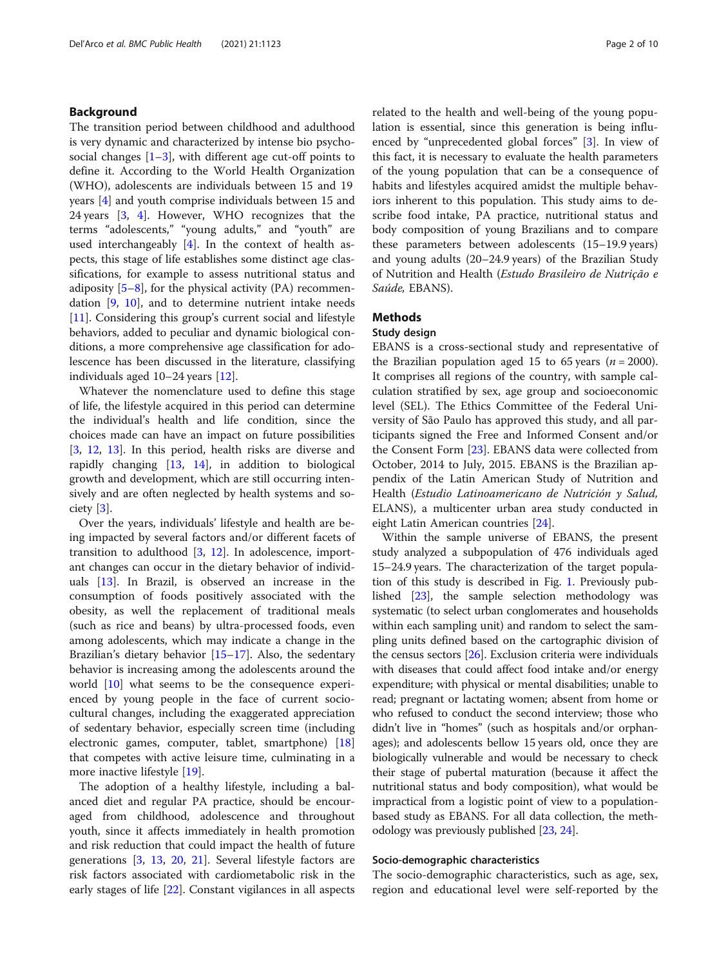## Background

The transition period between childhood and adulthood is very dynamic and characterized by intense bio psychosocial changes  $[1-3]$  $[1-3]$  $[1-3]$  $[1-3]$ , with different age cut-off points to define it. According to the World Health Organization (WHO), adolescents are individuals between 15 and 19 years [\[4](#page-8-0)] and youth comprise individuals between 15 and 24 years [[3,](#page-8-0) [4](#page-8-0)]. However, WHO recognizes that the terms "adolescents," "young adults," and "youth" are used interchangeably [[4\]](#page-8-0). In the context of health aspects, this stage of life establishes some distinct age classifications, for example to assess nutritional status and adiposity  $[5-8]$  $[5-8]$  $[5-8]$ , for the physical activity (PA) recommendation [\[9](#page-8-0), [10\]](#page-8-0), and to determine nutrient intake needs [[11\]](#page-8-0). Considering this group's current social and lifestyle behaviors, added to peculiar and dynamic biological conditions, a more comprehensive age classification for adolescence has been discussed in the literature, classifying individuals aged 10–24 years [[12](#page-8-0)].

Whatever the nomenclature used to define this stage of life, the lifestyle acquired in this period can determine the individual's health and life condition, since the choices made can have an impact on future possibilities [[3,](#page-8-0) [12](#page-8-0), [13\]](#page-8-0). In this period, health risks are diverse and rapidly changing [[13,](#page-8-0) [14\]](#page-8-0), in addition to biological growth and development, which are still occurring intensively and are often neglected by health systems and society [[3\]](#page-8-0).

Over the years, individuals' lifestyle and health are being impacted by several factors and/or different facets of transition to adulthood [\[3](#page-8-0), [12](#page-8-0)]. In adolescence, important changes can occur in the dietary behavior of individuals [\[13](#page-8-0)]. In Brazil, is observed an increase in the consumption of foods positively associated with the obesity, as well the replacement of traditional meals (such as rice and beans) by ultra-processed foods, even among adolescents, which may indicate a change in the Brazilian's dietary behavior [[15](#page-8-0)–[17](#page-8-0)]. Also, the sedentary behavior is increasing among the adolescents around the world [\[10\]](#page-8-0) what seems to be the consequence experienced by young people in the face of current sociocultural changes, including the exaggerated appreciation of sedentary behavior, especially screen time (including electronic games, computer, tablet, smartphone) [[18](#page-8-0)] that competes with active leisure time, culminating in a more inactive lifestyle [\[19\]](#page-8-0).

The adoption of a healthy lifestyle, including a balanced diet and regular PA practice, should be encouraged from childhood, adolescence and throughout youth, since it affects immediately in health promotion and risk reduction that could impact the health of future generations [[3,](#page-8-0) [13](#page-8-0), [20](#page-8-0), [21\]](#page-8-0). Several lifestyle factors are risk factors associated with cardiometabolic risk in the early stages of life [[22](#page-8-0)]. Constant vigilances in all aspects related to the health and well-being of the young population is essential, since this generation is being influenced by "unprecedented global forces" [[3\]](#page-8-0). In view of this fact, it is necessary to evaluate the health parameters of the young population that can be a consequence of habits and lifestyles acquired amidst the multiple behaviors inherent to this population. This study aims to describe food intake, PA practice, nutritional status and body composition of young Brazilians and to compare these parameters between adolescents (15–19.9 years) and young adults (20–24.9 years) of the Brazilian Study of Nutrition and Health (Estudo Brasileiro de Nutrição e Saúde, EBANS).

## Methods

## Study design

EBANS is a cross-sectional study and representative of the Brazilian population aged 15 to 65 years ( $n = 2000$ ). It comprises all regions of the country, with sample calculation stratified by sex, age group and socioeconomic level (SEL). The Ethics Committee of the Federal University of São Paulo has approved this study, and all participants signed the Free and Informed Consent and/or the Consent Form [[23](#page-8-0)]. EBANS data were collected from October, 2014 to July, 2015. EBANS is the Brazilian appendix of the Latin American Study of Nutrition and Health (Estudio Latinoamericano de Nutrición y Salud, ELANS), a multicenter urban area study conducted in eight Latin American countries [[24](#page-8-0)].

Within the sample universe of EBANS, the present study analyzed a subpopulation of 476 individuals aged 15–24.9 years. The characterization of the target population of this study is described in Fig. [1](#page-2-0). Previously published [\[23](#page-8-0)], the sample selection methodology was systematic (to select urban conglomerates and households within each sampling unit) and random to select the sampling units defined based on the cartographic division of the census sectors [\[26\]](#page-8-0). Exclusion criteria were individuals with diseases that could affect food intake and/or energy expenditure; with physical or mental disabilities; unable to read; pregnant or lactating women; absent from home or who refused to conduct the second interview; those who didn't live in "homes" (such as hospitals and/or orphanages); and adolescents bellow 15 years old, once they are biologically vulnerable and would be necessary to check their stage of pubertal maturation (because it affect the nutritional status and body composition), what would be impractical from a logistic point of view to a populationbased study as EBANS. For all data collection, the methodology was previously published [\[23,](#page-8-0) [24](#page-8-0)].

#### Socio-demographic characteristics

The socio-demographic characteristics, such as age, sex, region and educational level were self-reported by the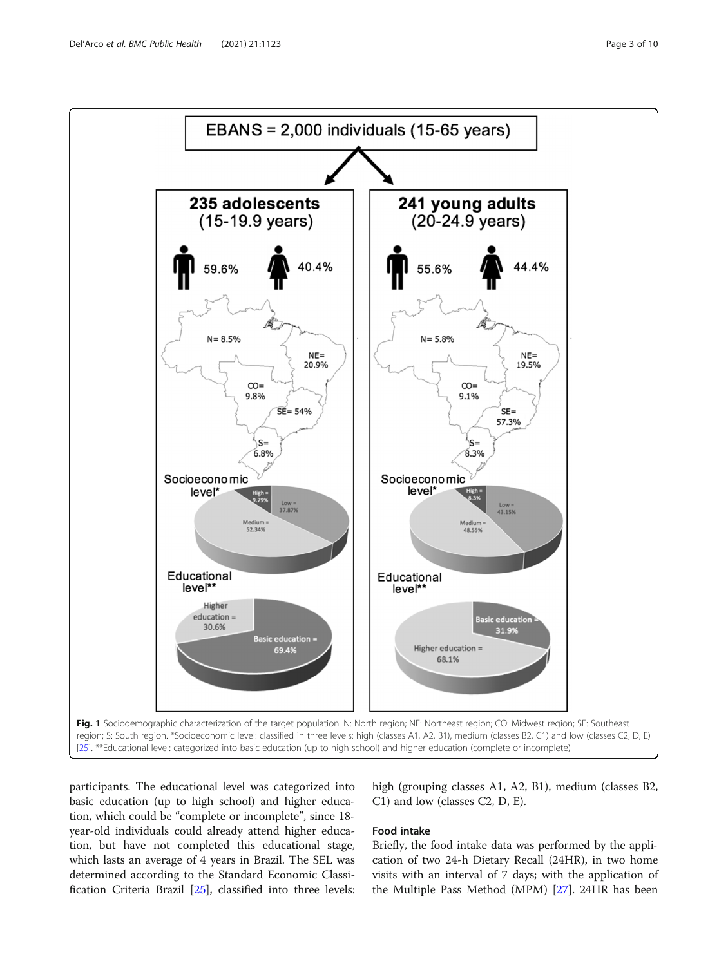<span id="page-2-0"></span>

participants. The educational level was categorized into basic education (up to high school) and higher education, which could be "complete or incomplete", since 18 year-old individuals could already attend higher education, but have not completed this educational stage, which lasts an average of 4 years in Brazil. The SEL was determined according to the Standard Economic Classification Criteria Brazil [[25\]](#page-8-0), classified into three levels: high (grouping classes A1, A2, B1), medium (classes B2, C1) and low (classes C2, D, E).

## Food intake

Briefly, the food intake data was performed by the application of two 24-h Dietary Recall (24HR), in two home visits with an interval of 7 days; with the application of the Multiple Pass Method (MPM) [\[27](#page-8-0)]. 24HR has been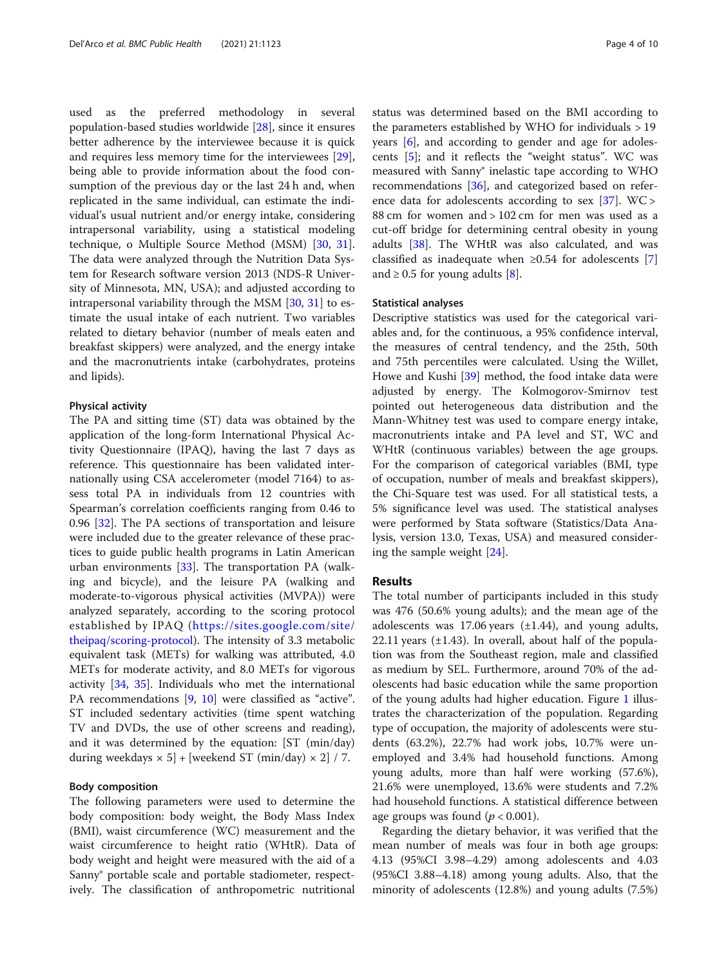used as the preferred methodology in several population-based studies worldwide [[28\]](#page-8-0), since it ensures better adherence by the interviewee because it is quick and requires less memory time for the interviewees [\[29](#page-9-0)], being able to provide information about the food consumption of the previous day or the last 24 h and, when replicated in the same individual, can estimate the individual's usual nutrient and/or energy intake, considering intrapersonal variability, using a statistical modeling technique, o Multiple Source Method (MSM) [[30,](#page-9-0) [31](#page-9-0)]. The data were analyzed through the Nutrition Data System for Research software version 2013 (NDS-R University of Minnesota, MN, USA); and adjusted according to intrapersonal variability through the MSM [[30,](#page-9-0) [31\]](#page-9-0) to estimate the usual intake of each nutrient. Two variables related to dietary behavior (number of meals eaten and breakfast skippers) were analyzed, and the energy intake and the macronutrients intake (carbohydrates, proteins and lipids).

#### Physical activity

The PA and sitting time (ST) data was obtained by the application of the long-form International Physical Activity Questionnaire (IPAQ), having the last 7 days as reference. This questionnaire has been validated internationally using CSA accelerometer (model 7164) to assess total PA in individuals from 12 countries with Spearman's correlation coefficients ranging from 0.46 to 0.96 [\[32](#page-9-0)]. The PA sections of transportation and leisure were included due to the greater relevance of these practices to guide public health programs in Latin American urban environments [[33](#page-9-0)]. The transportation PA (walking and bicycle), and the leisure PA (walking and moderate-to-vigorous physical activities (MVPA)) were analyzed separately, according to the scoring protocol established by IPAQ ([https://sites.google.com/site/](https://sites.google.com/site/theipaq/scoring-protocol)) [theipaq/scoring-protocol](https://sites.google.com/site/theipaq/scoring-protocol))). The intensity of 3.3 metabolic equivalent task (METs) for walking was attributed, 4.0 METs for moderate activity, and 8.0 METs for vigorous activity [\[34](#page-9-0), [35\]](#page-9-0). Individuals who met the international PA recommendations [[9,](#page-8-0) [10\]](#page-8-0) were classified as "active". ST included sedentary activities (time spent watching TV and DVDs, the use of other screens and reading), and it was determined by the equation: [ST (min/day) during weekdays  $\times$  5] + [weekend ST (min/day)  $\times$  2] / 7.

#### Body composition

The following parameters were used to determine the body composition: body weight, the Body Mass Index (BMI), waist circumference (WC) measurement and the waist circumference to height ratio (WHtR). Data of body weight and height were measured with the aid of a Sanny® portable scale and portable stadiometer, respectively. The classification of anthropometric nutritional status was determined based on the BMI according to the parameters established by WHO for individuals > 19 years [[6\]](#page-8-0), and according to gender and age for adolescents [\[5\]](#page-8-0); and it reflects the "weight status". WC was measured with Sanny® inelastic tape according to WHO recommendations [\[36](#page-9-0)], and categorized based on reference data for adolescents according to sex  $[37]$  $[37]$ . WC > 88 cm for women and > 102 cm for men was used as a cut-off bridge for determining central obesity in young adults [[38\]](#page-9-0). The WHtR was also calculated, and was classified as inadequate when  $\geq 0.54$  for adolescents [\[7](#page-8-0)] and  $\geq$  0.5 for young adults [\[8\]](#page-8-0).

#### Statistical analyses

Descriptive statistics was used for the categorical variables and, for the continuous, a 95% confidence interval, the measures of central tendency, and the 25th, 50th and 75th percentiles were calculated. Using the Willet, Howe and Kushi [\[39\]](#page-9-0) method, the food intake data were adjusted by energy. The Kolmogorov-Smirnov test pointed out heterogeneous data distribution and the Mann-Whitney test was used to compare energy intake, macronutrients intake and PA level and ST, WC and WHtR (continuous variables) between the age groups. For the comparison of categorical variables (BMI, type of occupation, number of meals and breakfast skippers), the Chi-Square test was used. For all statistical tests, a 5% significance level was used. The statistical analyses were performed by Stata software (Statistics/Data Analysis, version 13.0, Texas, USA) and measured considering the sample weight [[24\]](#page-8-0).

#### Results

The total number of participants included in this study was 476 (50.6% young adults); and the mean age of the adolescents was 17.06 years  $(\pm 1.44)$ , and young adults, 22.11 years  $(\pm 1.43)$ . In overall, about half of the population was from the Southeast region, male and classified as medium by SEL. Furthermore, around 70% of the adolescents had basic education while the same proportion of the young adults had higher education. Figure [1](#page-2-0) illustrates the characterization of the population. Regarding type of occupation, the majority of adolescents were students (63.2%), 22.7% had work jobs, 10.7% were unemployed and 3.4% had household functions. Among young adults, more than half were working (57.6%), 21.6% were unemployed, 13.6% were students and 7.2% had household functions. A statistical difference between age groups was found  $(p < 0.001)$ .

Regarding the dietary behavior, it was verified that the mean number of meals was four in both age groups: 4.13 (95%CI 3.98–4.29) among adolescents and 4.03 (95%CI 3.88–4.18) among young adults. Also, that the minority of adolescents (12.8%) and young adults (7.5%)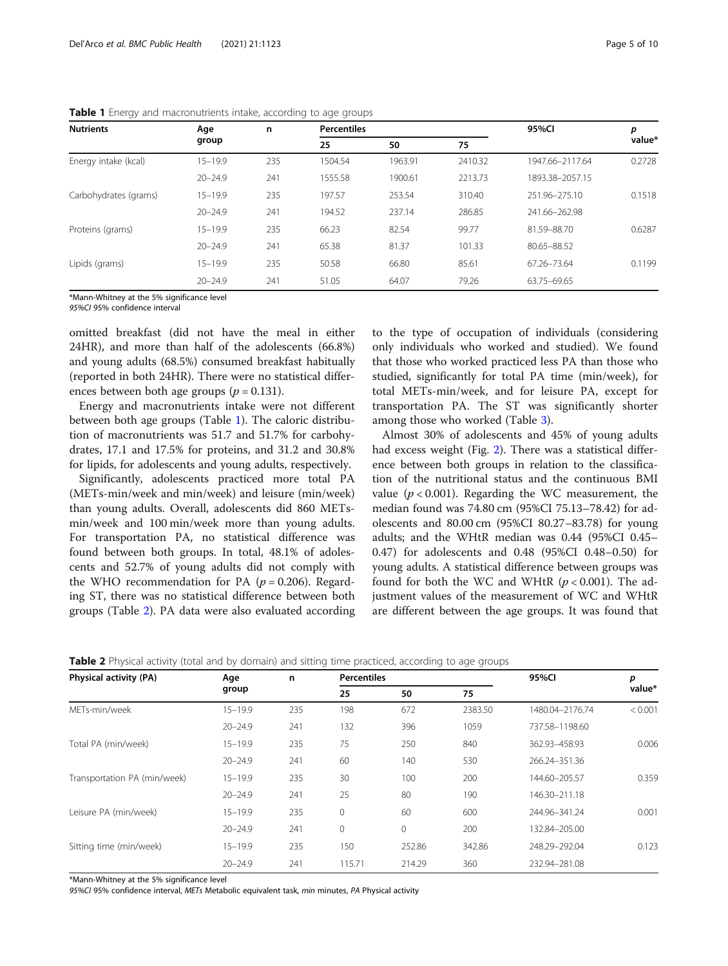| <b>Nutrients</b>      | Age<br>group | n   | <b>Percentiles</b> |         |         | 95%Cl           | р      |
|-----------------------|--------------|-----|--------------------|---------|---------|-----------------|--------|
|                       |              |     | 25                 | 50      | 75      |                 | value* |
| Energy intake (kcal)  | $15 - 19.9$  | 235 | 1504.54            | 1963.91 | 2410.32 | 1947.66-2117.64 | 0.2728 |
|                       | $20 - 24.9$  | 241 | 1555.58            | 1900.61 | 2213.73 | 1893.38-2057.15 |        |
| Carbohydrates (grams) | $15 - 19.9$  | 235 | 197.57             | 253.54  | 310.40  | 251.96-275.10   | 0.1518 |
|                       | $20 - 24.9$  | 241 | 194.52             | 237.14  | 286.85  | 241.66-262.98   |        |
| Proteins (grams)      | $15 - 19.9$  | 235 | 66.23              | 82.54   | 99.77   | 81.59-88.70     | 0.6287 |
|                       | $20 - 24.9$  | 241 | 65.38              | 81.37   | 101.33  | 80.65-88.52     |        |
| Lipids (grams)        | $15 - 19.9$  | 235 | 50.58              | 66.80   | 85.61   | 67.26-73.64     | 0.1199 |
|                       | $20 - 24.9$  | 241 | 51.05              | 64.07   | 79.26   | 63.75-69.65     |        |

Table 1 Energy and macronutrients intake, according to age groups

\*Mann-Whitney at the 5% significance level

95%CI 95% confidence interval

omitted breakfast (did not have the meal in either 24HR), and more than half of the adolescents (66.8%) and young adults (68.5%) consumed breakfast habitually (reported in both 24HR). There were no statistical differences between both age groups ( $p = 0.131$ ).

Energy and macronutrients intake were not different between both age groups (Table 1). The caloric distribution of macronutrients was 51.7 and 51.7% for carbohydrates, 17.1 and 17.5% for proteins, and 31.2 and 30.8% for lipids, for adolescents and young adults, respectively.

Significantly, adolescents practiced more total PA (METs-min/week and min/week) and leisure (min/week) than young adults. Overall, adolescents did 860 METsmin/week and 100 min/week more than young adults. For transportation PA, no statistical difference was found between both groups. In total, 48.1% of adolescents and 52.7% of young adults did not comply with the WHO recommendation for PA ( $p = 0.206$ ). Regarding ST, there was no statistical difference between both groups (Table 2). PA data were also evaluated according to the type of occupation of individuals (considering only individuals who worked and studied). We found that those who worked practiced less PA than those who studied, significantly for total PA time (min/week), for total METs-min/week, and for leisure PA, except for transportation PA. The ST was significantly shorter among those who worked (Table [3\)](#page-5-0).

Almost 30% of adolescents and 45% of young adults had excess weight (Fig. [2\)](#page-5-0). There was a statistical difference between both groups in relation to the classification of the nutritional status and the continuous BMI value ( $p < 0.001$ ). Regarding the WC measurement, the median found was 74.80 cm (95%CI 75.13–78.42) for adolescents and 80.00 cm (95%CI 80.27–83.78) for young adults; and the WHtR median was 0.44 (95%CI 0.45– 0.47) for adolescents and 0.48 (95%CI 0.48–0.50) for young adults. A statistical difference between groups was found for both the WC and WHtR  $(p < 0.001)$ . The adjustment values of the measurement of WC and WHtR are different between the age groups. It was found that

|  |  | Table 2 Physical activity (total and by domain) and sitting time practiced, according to age groups |
|--|--|-----------------------------------------------------------------------------------------------------|
|  |  |                                                                                                     |

| <b>Physical activity (PA)</b> | Age<br>group | n   | <b>Percentiles</b> |             |         | 95%CI           | р       |
|-------------------------------|--------------|-----|--------------------|-------------|---------|-----------------|---------|
|                               |              |     | 25                 | 50          | 75      |                 | value*  |
| METs-min/week                 | $15 - 19.9$  | 235 | 198                | 672         | 2383.50 | 1480.04-2176.74 | < 0.001 |
|                               | $20 - 24.9$  | 241 | 132                | 396         | 1059    | 737.58-1198.60  |         |
| Total PA (min/week)           | $15 - 19.9$  | 235 | 75                 | 250         | 840     | 362.93-458.93   | 0.006   |
|                               | $20 - 24.9$  | 241 | 60                 | 140         | 530     | 266.24-351.36   |         |
| Transportation PA (min/week)  | $15 - 19.9$  | 235 | 30                 | 100         | 200     | 144.60-205.57   | 0.359   |
|                               | $20 - 24.9$  | 241 | 25                 | 80          | 190     | 146.30-211.18   |         |
| Leisure PA (min/week)         | $15 - 19.9$  | 235 | 0                  | 60          | 600     | 244.96-341.24   | 0.001   |
|                               | $20 - 24.9$  | 241 | 0                  | $\mathbf 0$ | 200     | 132.84-205.00   |         |
| Sitting time (min/week)       | $15 - 19.9$  | 235 | 150                | 252.86      | 342.86  | 248.29-292.04   | 0.123   |
|                               | $20 - 24.9$  | 241 | 115.71             | 214.29      | 360     | 232.94-281.08   |         |

\*Mann-Whitney at the 5% significance level

95%CI 95% confidence interval, METs Metabolic equivalent task, min minutes, PA Physical activity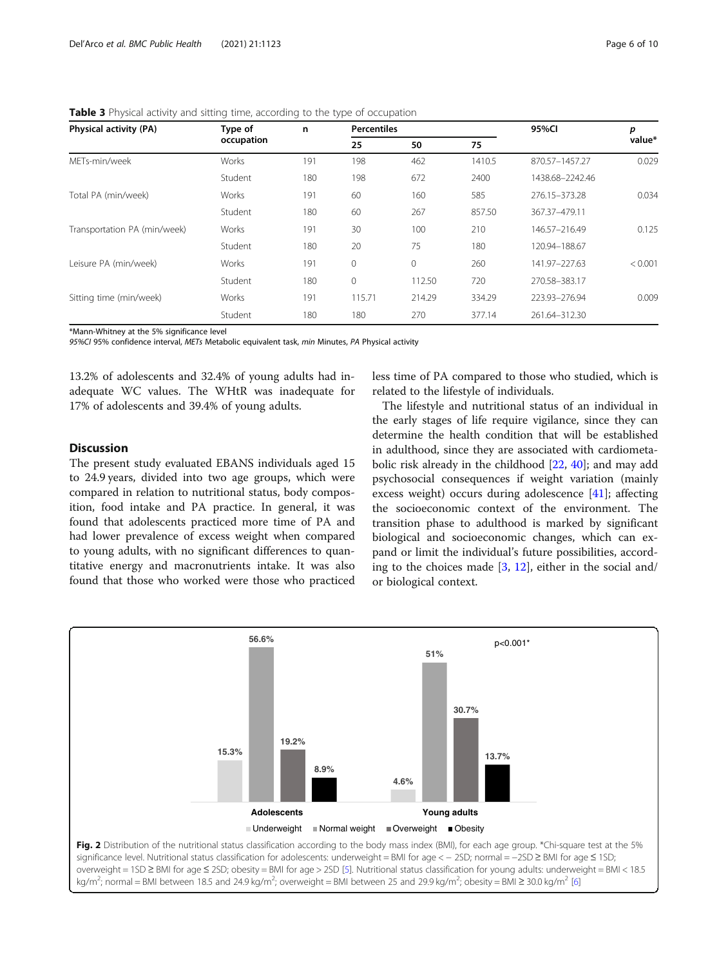| Physical activity (PA)       | Type of<br>occupation | n   | <b>Percentiles</b> |              |        | 95%CI           | р       |
|------------------------------|-----------------------|-----|--------------------|--------------|--------|-----------------|---------|
|                              |                       |     | 25                 | 50           | 75     |                 | value*  |
| METs-min/week                | Works                 | 191 | 198                | 462          | 1410.5 | 870.57-1457.27  | 0.029   |
|                              | Student               | 180 | 198                | 672          | 2400   | 1438.68-2242.46 |         |
| Total PA (min/week)          | Works                 | 191 | 60                 | 160          | 585    | 276.15-373.28   | 0.034   |
|                              | Student               | 180 | 60                 | 267          | 857.50 | 367.37-479.11   |         |
| Transportation PA (min/week) | Works                 | 191 | 30                 | 100          | 210    | 146.57-216.49   | 0.125   |
|                              | Student               | 180 | 20                 | 75           | 180    | 120.94-188.67   |         |
| Leisure PA (min/week)        | Works                 | 191 | $\mathbf{0}$       | $\mathbf{0}$ | 260    | 141.97-227.63   | < 0.001 |
|                              | Student               | 180 | $\mathbf{0}$       | 112.50       | 720    | 270.58-383.17   |         |
| Sitting time (min/week)      | Works                 | 191 | 115.71             | 214.29       | 334.29 | 223.93-276.94   | 0.009   |
|                              | Student               | 180 | 180                | 270          | 377.14 | 261.64-312.30   |         |

<span id="page-5-0"></span>**Table 3** Physical activity and sitting time, according to the type of occupation

\*Mann-Whitney at the 5% significance level

95%CI 95% confidence interval, METs Metabolic equivalent task, min Minutes, PA Physical activity

13.2% of adolescents and 32.4% of young adults had inadequate WC values. The WHtR was inadequate for 17% of adolescents and 39.4% of young adults.

## **Discussion**

The present study evaluated EBANS individuals aged 15 to 24.9 years, divided into two age groups, which were compared in relation to nutritional status, body composition, food intake and PA practice. In general, it was found that adolescents practiced more time of PA and had lower prevalence of excess weight when compared to young adults, with no significant differences to quantitative energy and macronutrients intake. It was also found that those who worked were those who practiced less time of PA compared to those who studied, which is related to the lifestyle of individuals.

The lifestyle and nutritional status of an individual in the early stages of life require vigilance, since they can determine the health condition that will be established in adulthood, since they are associated with cardiometabolic risk already in the childhood [\[22,](#page-8-0) [40](#page-9-0)]; and may add psychosocial consequences if weight variation (mainly excess weight) occurs during adolescence [[41\]](#page-9-0); affecting the socioeconomic context of the environment. The transition phase to adulthood is marked by significant biological and socioeconomic changes, which can expand or limit the individual's future possibilities, according to the choices made [[3,](#page-8-0) [12\]](#page-8-0), either in the social and/ or biological context.

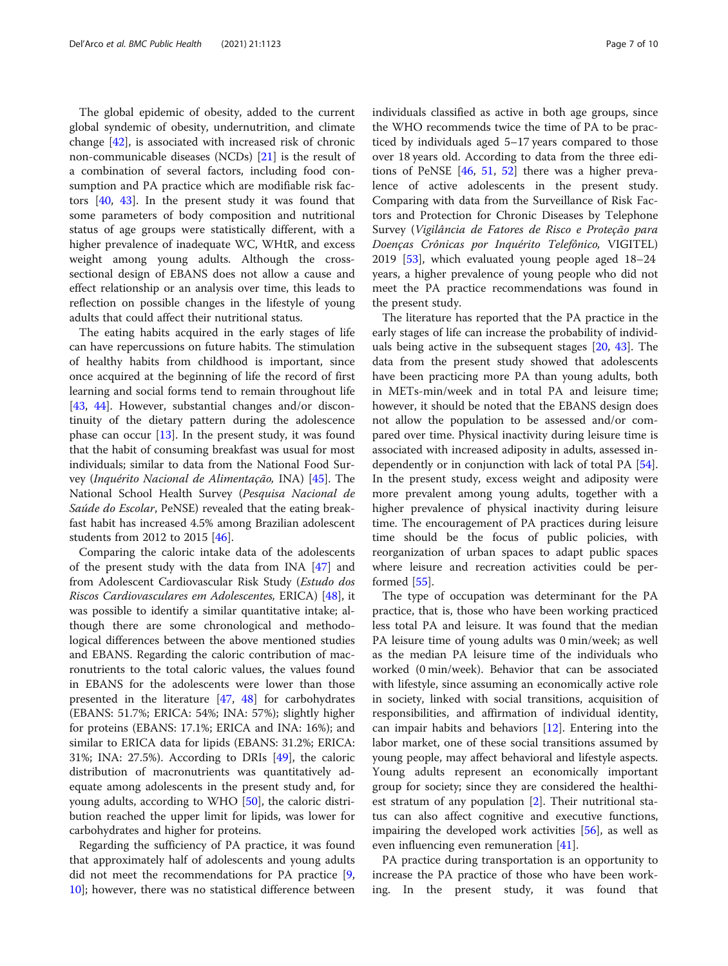The global epidemic of obesity, added to the current global syndemic of obesity, undernutrition, and climate change [\[42\]](#page-9-0), is associated with increased risk of chronic non-communicable diseases (NCDs) [[21](#page-8-0)] is the result of a combination of several factors, including food consumption and PA practice which are modifiable risk factors [[40,](#page-9-0) [43](#page-9-0)]. In the present study it was found that some parameters of body composition and nutritional status of age groups were statistically different, with a higher prevalence of inadequate WC, WHtR, and excess weight among young adults. Although the crosssectional design of EBANS does not allow a cause and effect relationship or an analysis over time, this leads to reflection on possible changes in the lifestyle of young adults that could affect their nutritional status.

The eating habits acquired in the early stages of life can have repercussions on future habits. The stimulation of healthy habits from childhood is important, since once acquired at the beginning of life the record of first learning and social forms tend to remain throughout life [[43,](#page-9-0) [44\]](#page-9-0). However, substantial changes and/or discontinuity of the dietary pattern during the adolescence phase can occur  $[13]$  $[13]$  $[13]$ . In the present study, it was found that the habit of consuming breakfast was usual for most individuals; similar to data from the National Food Survey (Inquérito Nacional de Alimentação, INA) [[45](#page-9-0)]. The National School Health Survey (Pesquisa Nacional de Saúde do Escolar, PeNSE) revealed that the eating breakfast habit has increased 4.5% among Brazilian adolescent students from 2012 to 2015 [\[46](#page-9-0)].

Comparing the caloric intake data of the adolescents of the present study with the data from INA [\[47\]](#page-9-0) and from Adolescent Cardiovascular Risk Study (Estudo dos Riscos Cardiovasculares em Adolescentes, ERICA) [[48](#page-9-0)], it was possible to identify a similar quantitative intake; although there are some chronological and methodological differences between the above mentioned studies and EBANS. Regarding the caloric contribution of macronutrients to the total caloric values, the values found in EBANS for the adolescents were lower than those presented in the literature [\[47,](#page-9-0) [48](#page-9-0)] for carbohydrates (EBANS: 51.7%; ERICA: 54%; INA: 57%); slightly higher for proteins (EBANS: 17.1%; ERICA and INA: 16%); and similar to ERICA data for lipids (EBANS: 31.2%; ERICA: 31%; INA: 27.5%). According to DRIs [\[49](#page-9-0)], the caloric distribution of macronutrients was quantitatively adequate among adolescents in the present study and, for young adults, according to WHO [\[50\]](#page-9-0), the caloric distribution reached the upper limit for lipids, was lower for carbohydrates and higher for proteins.

Regarding the sufficiency of PA practice, it was found that approximately half of adolescents and young adults did not meet the recommendations for PA practice [[9](#page-8-0), [10\]](#page-8-0); however, there was no statistical difference between

individuals classified as active in both age groups, since the WHO recommends twice the time of PA to be practiced by individuals aged 5–17 years compared to those over 18 years old. According to data from the three editions of PeNSE [[46](#page-9-0), [51,](#page-9-0) [52](#page-9-0)] there was a higher prevalence of active adolescents in the present study. Comparing with data from the Surveillance of Risk Factors and Protection for Chronic Diseases by Telephone Survey (Vigilância de Fatores de Risco e Proteção para Doenças Crônicas por Inquérito Telefônico, VIGITEL) 2019 [[53](#page-9-0)], which evaluated young people aged 18–24 years, a higher prevalence of young people who did not meet the PA practice recommendations was found in the present study.

The literature has reported that the PA practice in the early stages of life can increase the probability of individuals being active in the subsequent stages [[20](#page-8-0), [43](#page-9-0)]. The data from the present study showed that adolescents have been practicing more PA than young adults, both in METs-min/week and in total PA and leisure time; however, it should be noted that the EBANS design does not allow the population to be assessed and/or compared over time. Physical inactivity during leisure time is associated with increased adiposity in adults, assessed independently or in conjunction with lack of total PA [\[54](#page-9-0)]. In the present study, excess weight and adiposity were more prevalent among young adults, together with a higher prevalence of physical inactivity during leisure time. The encouragement of PA practices during leisure time should be the focus of public policies, with reorganization of urban spaces to adapt public spaces where leisure and recreation activities could be performed [\[55](#page-9-0)].

The type of occupation was determinant for the PA practice, that is, those who have been working practiced less total PA and leisure. It was found that the median PA leisure time of young adults was 0 min/week; as well as the median PA leisure time of the individuals who worked (0 min/week). Behavior that can be associated with lifestyle, since assuming an economically active role in society, linked with social transitions, acquisition of responsibilities, and affirmation of individual identity, can impair habits and behaviors [\[12](#page-8-0)]. Entering into the labor market, one of these social transitions assumed by young people, may affect behavioral and lifestyle aspects. Young adults represent an economically important group for society; since they are considered the healthiest stratum of any population [\[2](#page-8-0)]. Their nutritional status can also affect cognitive and executive functions, impairing the developed work activities [\[56\]](#page-9-0), as well as even influencing even remuneration [\[41](#page-9-0)].

PA practice during transportation is an opportunity to increase the PA practice of those who have been working. In the present study, it was found that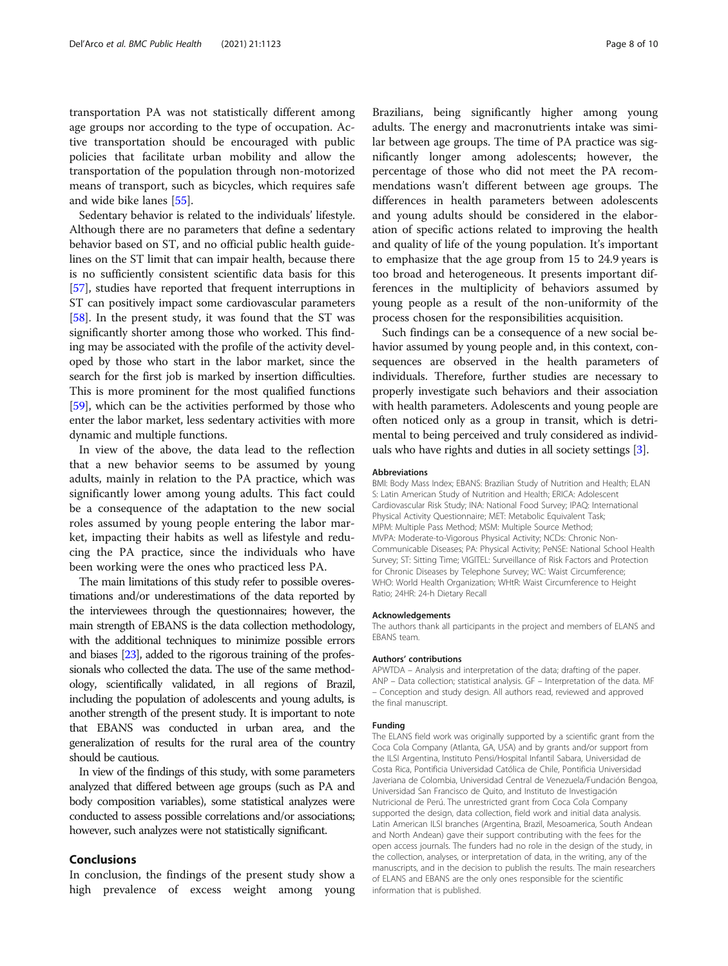transportation PA was not statistically different among age groups nor according to the type of occupation. Active transportation should be encouraged with public policies that facilitate urban mobility and allow the transportation of the population through non-motorized means of transport, such as bicycles, which requires safe and wide bike lanes [\[55](#page-9-0)].

Sedentary behavior is related to the individuals' lifestyle. Although there are no parameters that define a sedentary behavior based on ST, and no official public health guidelines on the ST limit that can impair health, because there is no sufficiently consistent scientific data basis for this [[57](#page-9-0)], studies have reported that frequent interruptions in ST can positively impact some cardiovascular parameters [[58](#page-9-0)]. In the present study, it was found that the ST was significantly shorter among those who worked. This finding may be associated with the profile of the activity developed by those who start in the labor market, since the search for the first job is marked by insertion difficulties. This is more prominent for the most qualified functions [[59](#page-9-0)], which can be the activities performed by those who enter the labor market, less sedentary activities with more dynamic and multiple functions.

In view of the above, the data lead to the reflection that a new behavior seems to be assumed by young adults, mainly in relation to the PA practice, which was significantly lower among young adults. This fact could be a consequence of the adaptation to the new social roles assumed by young people entering the labor market, impacting their habits as well as lifestyle and reducing the PA practice, since the individuals who have been working were the ones who practiced less PA.

The main limitations of this study refer to possible overestimations and/or underestimations of the data reported by the interviewees through the questionnaires; however, the main strength of EBANS is the data collection methodology, with the additional techniques to minimize possible errors and biases [\[23](#page-8-0)], added to the rigorous training of the professionals who collected the data. The use of the same methodology, scientifically validated, in all regions of Brazil, including the population of adolescents and young adults, is another strength of the present study. It is important to note that EBANS was conducted in urban area, and the generalization of results for the rural area of the country should be cautious.

In view of the findings of this study, with some parameters analyzed that differed between age groups (such as PA and body composition variables), some statistical analyzes were conducted to assess possible correlations and/or associations; however, such analyzes were not statistically significant.

#### Conclusions

In conclusion, the findings of the present study show a high prevalence of excess weight among young

Brazilians, being significantly higher among young adults. The energy and macronutrients intake was similar between age groups. The time of PA practice was significantly longer among adolescents; however, the percentage of those who did not meet the PA recommendations wasn't different between age groups. The differences in health parameters between adolescents and young adults should be considered in the elaboration of specific actions related to improving the health and quality of life of the young population. It's important to emphasize that the age group from 15 to 24.9 years is too broad and heterogeneous. It presents important differences in the multiplicity of behaviors assumed by young people as a result of the non-uniformity of the process chosen for the responsibilities acquisition.

Such findings can be a consequence of a new social behavior assumed by young people and, in this context, consequences are observed in the health parameters of individuals. Therefore, further studies are necessary to properly investigate such behaviors and their association with health parameters. Adolescents and young people are often noticed only as a group in transit, which is detrimental to being perceived and truly considered as individuals who have rights and duties in all society settings [\[3\]](#page-8-0).

#### Abbreviations

BMI: Body Mass Index; EBANS: Brazilian Study of Nutrition and Health; ELAN S: Latin American Study of Nutrition and Health; ERICA: Adolescent Cardiovascular Risk Study; INA: National Food Survey; IPAQ: International Physical Activity Questionnaire; MET: Metabolic Equivalent Task; MPM: Multiple Pass Method; MSM: Multiple Source Method; MVPA: Moderate-to-Vigorous Physical Activity; NCDs: Chronic Non-Communicable Diseases; PA: Physical Activity; PeNSE: National School Health Survey; ST: Sitting Time; VIGITEL: Surveillance of Risk Factors and Protection for Chronic Diseases by Telephone Survey; WC: Waist Circumference; WHO: World Health Organization; WHtR: Waist Circumference to Height Ratio; 24HR: 24-h Dietary Recall

#### Acknowledgements

The authors thank all participants in the project and members of ELANS and EBANS team.

#### Authors' contributions

APWTDA – Analysis and interpretation of the data; drafting of the paper. ANP – Data collection; statistical analysis. GF – Interpretation of the data. MF – Conception and study design. All authors read, reviewed and approved the final manuscript.

#### Funding

The ELANS field work was originally supported by a scientific grant from the Coca Cola Company (Atlanta, GA, USA) and by grants and/or support from the ILSI Argentina, Instituto Pensi/Hospital Infantil Sabara, Universidad de Costa Rica, Pontificia Universidad Católica de Chile, Pontificia Universidad Javeriana de Colombia, Universidad Central de Venezuela/Fundación Bengoa, Universidad San Francisco de Quito, and Instituto de Investigación Nutricional de Perú. The unrestricted grant from Coca Cola Company supported the design, data collection, field work and initial data analysis. Latin American ILSI branches (Argentina, Brazil, Mesoamerica, South Andean and North Andean) gave their support contributing with the fees for the open access journals. The funders had no role in the design of the study, in the collection, analyses, or interpretation of data, in the writing, any of the manuscripts, and in the decision to publish the results. The main researchers of ELANS and EBANS are the only ones responsible for the scientific information that is published.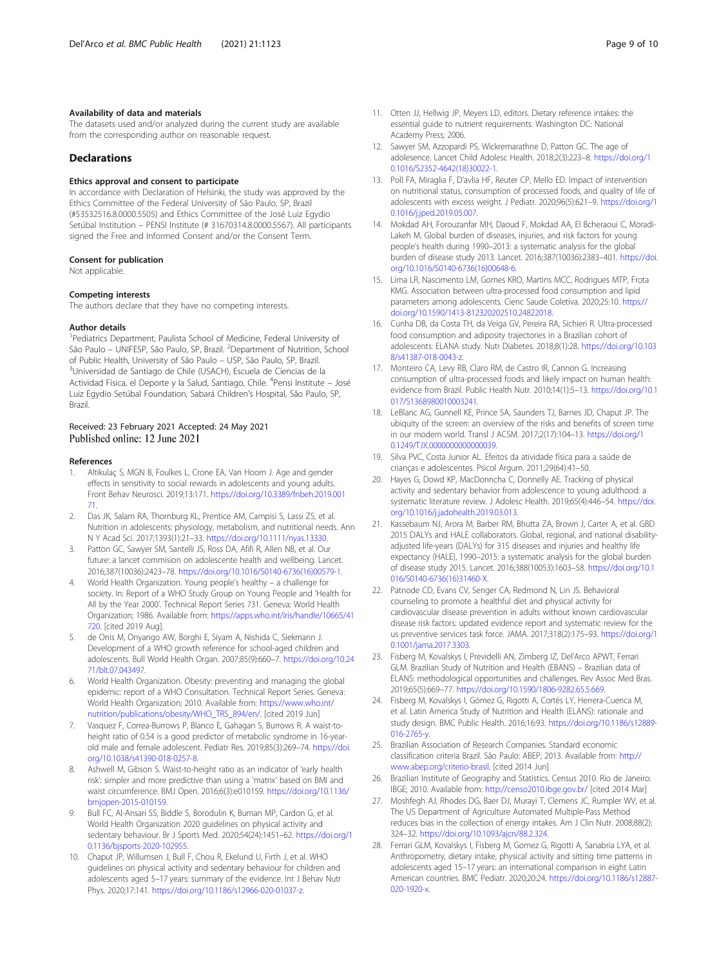#### <span id="page-8-0"></span>Availability of data and materials

The datasets used and/or analyzed during the current study are available from the corresponding author on reasonable request.

### Declarations

## Ethics approval and consent to participate

In accordance with Declaration of Helsinki, the study was approved by the Ethics Committee of the Federal University of São Paulo, SP, Brazil (#53532516.8.0000.5505) and Ethics Committee of the José Luiz Egydio Setúbal Institution – PENSI Institute (# 31670314.8.0000.5567). All participants signed the Free and Informed Consent and/or the Consent Term.

#### Consent for publication

Not applicable.

#### Competing interests

The authors declare that they have no competing interests.

#### Author details

<sup>1</sup> Pediatrics Department, Paulista School of Medicine, Federal University of São Paulo – UNIFESP, São Paulo, SP, Brazil. <sup>2</sup>Department of Nutrition, School of Public Health, University of São Paulo – USP, São Paulo, SP, Brazil. Universidad de Santiago de Chile (USACH), Escuela de Ciencias de la Actividad Física, el Deporte y la Salud, Santiago, Chile. <sup>4</sup>Pensi Institute – José Luiz Egydio Setúbal Foundation, Sabará Children's Hospital, São Paulo, SP, Brazil.

#### Received: 23 February 2021 Accepted: 24 May 2021 Published online: 12 June 2021

#### References

- 1. Altikulaç S, MGN B, Foulkes L, Crone EA, Van Hoorn J. Age and gender effects in sensitivity to social rewards in adolescents and young adults. Front Behav Neurosci. 2019;13:171. [https://doi.org/10.3389/fnbeh.2019.001](https://doi.org/10.3389/fnbeh.2019.00171) [71.](https://doi.org/10.3389/fnbeh.2019.00171)
- 2. Das JK, Salam RA, Thornburg KL, Prentice AM, Campisi S, Lassi ZS, et al. Nutrition in adolescents: physiology, metabolism, and nutritional needs. Ann N Y Acad Sci. 2017;1393(1):21–33. <https://doi.org/10.1111/nyas.13330>.
- Patton GC, Sawyer SM, Santelli JS, Ross DA, Afifi R, Allen NB, et al. Our future: a lancet commision on adolescente health and wellbeing. Lancet. 2016;387(10036):2423–78. [https://doi.org/10.1016/S0140-6736\(16\)00579-1](https://doi.org/10.1016/S0140-6736(16)00579-1).
- 4. World Health Organization. Young people's healthy a challenge for society. In: Report of a WHO Study Group on Young People and 'Health for All by the Year 2000'. Technical Report Series 731. Geneva: World Health Organization; 1986. Available from: [https://apps.who.int/iris/handle/10665/41](https://apps.who.int/iris/handle/10665/41720) [720.](https://apps.who.int/iris/handle/10665/41720) [cited 2019 Aug].
- 5. de Onis M, Onyango AW, Borghi E, Siyam A, Nishida C, Siekmann J. Development of a WHO growth reference for school-aged children and adolescents. Bull World Health Organ. 2007;85(9):660–7. [https://doi.org/10.24](https://doi.org/10.2471/blt.07.043497) [71/blt.07.043497](https://doi.org/10.2471/blt.07.043497).
- 6. World Health Organization. Obesity: preventing and managing the global epidemic: report of a WHO Consultation. Technical Report Series. Geneva: World Health Organization; 2010. Available from: [https://www.who.int/](https://www.who.int/nutrition/publications/obesity/WHO_TRS_894/en/) [nutrition/publications/obesity/WHO\\_TRS\\_894/en/.](https://www.who.int/nutrition/publications/obesity/WHO_TRS_894/en/) [cited 2019 Jun]
- 7. Vasquez F, Correa-Burrows P, Blanco E, Gahagan S, Burrows R. A waist-toheight ratio of 0.54 is a good predictor of metabolic syndrome in 16-yearold male and female adolescent. Pediatr Res. 2019;85(3):269–74. [https://doi.](https://doi.org/10.1038/s41390-018-0257-8) [org/10.1038/s41390-018-0257-8](https://doi.org/10.1038/s41390-018-0257-8).
- Ashwell M, Gibson S. Waist-to-height ratio as an indicator of 'early health risk': simpler and more predictive than using a 'matrix' based on BMI and waist circumference. BMJ Open. 2016;6(3):e010159. [https://doi.org/10.1136/](https://doi.org/10.1136/bmjopen-2015-010159) [bmjopen-2015-010159.](https://doi.org/10.1136/bmjopen-2015-010159)
- 9. Bull FC, Al-Ansari SS, Biddle S, Borodulin K, Buman MP, Cardon G, et al. World Health Organization 2020 guidelines on physical activity and sedentary behaviour. Br J Sports Med. 2020;54(24):1451–62. [https://doi.org/1](https://doi.org/10.1136/bjsports-2020-102955) [0.1136/bjsports-2020-102955](https://doi.org/10.1136/bjsports-2020-102955).
- 10. Chaput JP, Willumsen J, Bull F, Chou R, Ekelund U, Firth J, et al. WHO guidelines on physical activity and sedentary behaviour for children and adolescents aged 5–17 years: summary of the evidence. Int J Behav Nutr Phys. 2020;17:141. [https://doi.org/10.1186/s12966-020-01037-z.](https://doi.org/10.1186/s12966-020-01037-z)
- 11. Otten JJ, Hellwig JP, Meyers LD, editors. Dietary reference intakes: the essential guide to nutrient requirements. Washington DC: National Academy Press; 2006.
- 12. Sawyer SM, Azzopardi PS, Wickremarathne D, Patton GC. The age of adolesence. Lancet Child Adolesc Health. 2018;2(3):223–8. [https://doi.org/1](https://doi.org/10.1016/S2352-4642(18)30022-1) [0.1016/S2352-4642\(18\)30022-1](https://doi.org/10.1016/S2352-4642(18)30022-1).
- 13. Poll FA, Miraglia F, D'avlia HF, Reuter CP, Mello ED. Impact of intervention on nutritional status, consumption of processed foods, and quality of life of adolescents with excess weight. J Pediatr. 2020;96(5):621–9. [https://doi.org/1](https://doi.org/10.1016/j.jped.2019.05.007) [0.1016/j.jped.2019.05.007.](https://doi.org/10.1016/j.jped.2019.05.007)
- 14. Mokdad AH, Forouzanfar MH, Daoud F, Mokdad AA, El Bcheraoui C, Moradi-Lakeh M. Global burden of diseases, injuries, and risk factors for young people's health during 1990–2013: a systematic analysis for the global burden of disease study 2013. Lancet. 2016;387(10036):2383–401. [https://doi.](https://doi.org/10.1016/S0140-6736(16)00648-6) [org/10.1016/S0140-6736\(16\)00648-6.](https://doi.org/10.1016/S0140-6736(16)00648-6)
- 15. Lima LR, Nascimento LM, Gomes KRO, Martins MCC, Rodrigues MTP, Frota KMG. Association between ultra-processed food consumption and lipid parameters among adolescents. Cienc Saude Coletiva. 2020;25:10. [https://](https://doi.org/10.1590/1413-812320202510.24822018) [doi.org/10.1590/1413-812320202510.24822018.](https://doi.org/10.1590/1413-812320202510.24822018)
- 16. Cunha DB, da Costa TH, da Veiga GV, Pereira RA, Sichieri R. Ultra-processed food consumption and adiposity trajectories in a Brazilian cohort of adolescents: ELANA study. Nutr Diabetes. 2018;8(1):28. [https://doi.org/10.103](https://doi.org/10.1038/s41387-018-0043-z) [8/s41387-018-0043-z](https://doi.org/10.1038/s41387-018-0043-z).
- 17. Monteiro CA, Levy RB, Claro RM, de Castro IR, Cannon G. Increasing consumption of ultra-processed foods and likely impact on human health: evidence from Brazil. Public Health Nutr. 2010;14(1):5–13. [https://doi.org/10.1](https://doi.org/10.1017/S1368980010003241) [017/S1368980010003241](https://doi.org/10.1017/S1368980010003241).
- 18. LeBlanc AG, Gunnell KE, Prince SA, Saunders TJ, Barnes JD, Chaput JP. The ubiquity of the screen: an overview of the risks and benefits of screen time in our modern world. Transl J ACSM. 2017;2(17):104–13. [https://doi.org/1](https://doi.org/10.1249/TJX.0000000000000039) [0.1249/TJX.0000000000000039.](https://doi.org/10.1249/TJX.0000000000000039)
- 19. Silva PVC, Costa Junior AL. Efeitos da atividade física para a saúde de crianças e adolescentes. Psicol Argum. 2011;29(64):41–50.
- 20. Hayes G, Dowd KP, MacDonncha C, Donnelly AE. Tracking of physical activity and sedentary behavior from adolescence to young adulthood: a systematic literature review. J Adolesc Health. 2019;65(4):446–54. [https://doi.](https://doi.org/10.1016/j.jadohealth.2019.03.013) [org/10.1016/j.jadohealth.2019.03.013](https://doi.org/10.1016/j.jadohealth.2019.03.013).
- 21. Kassebaum NJ, Arora M, Barber RM, Bhutta ZA, Brown J, Carter A, et al. GBD 2015 DALYs and HALE collaborators. Global, regional, and national disabilityadjusted life-years (DALYs) for 315 diseases and injuries and healthy life expectancy (HALE), 1990–2015: a systematic analysis for the global burden of disease study 2015. Lancet. 2016;388(10053):1603–58. [https://doi.org/10.1](https://doi.org/10.1016/S0140-6736(16)31460-X) [016/S0140-6736\(16\)31460-X.](https://doi.org/10.1016/S0140-6736(16)31460-X)
- 22. Patnode CD, Evans CV, Senger CA, Redmond N, Lin JS. Behavioral counseling to promote a healthful diet and physical activity for cardiovascular disease prevention in adults without known cardiovascular disease risk factors: updated evidence report and systematic review for the us preventive services task force. JAMA. 2017;318(2):175–93. [https://doi.org/1](https://doi.org/10.1001/jama.2017.3303) [0.1001/jama.2017.3303.](https://doi.org/10.1001/jama.2017.3303)
- 23. Fisberg M, Kovalskys I, Previdelli AN, Zimberg IZ, Del'Arco APWT, Ferrari GLM. Brazilian Study of Nutrition and Health (EBANS) – Brazilian data of ELANS: methodological opportunities and challenges. Rev Assoc Med Bras. 2019;65(5):669–77. <https://doi.org/10.1590/1806-9282.65.5.669>.
- 24. Fisberg M, Kovalskys I, Gómez G, Rigotti A, Cortés LY, Herrera-Cuenca M, et al. Latin America Study of Nutrition and Health (ELANS): rationale and study design. BMC Public Health. 2016;16:93. [https://doi.org/10.1186/s12889-](https://doi.org/10.1186/s12889-016-2765-y) [016-2765-y.](https://doi.org/10.1186/s12889-016-2765-y)
- 25. Brazilian Association of Research Companies. Standard economic classification criteria Brazil. São Paulo: ABEP; 2013. Available from: [http://](http://www.abep.org/criterio-brasil) [www.abep.org/criterio-brasil](http://www.abep.org/criterio-brasil). [cited 2014 Jun]
- 26. Brazilian Institute of Geography and Statistics. Census 2010. Rio de Janeiro: IBGE; 2010. Available from: <http://censo2010.ibge.gov.br/> [cited 2014 Mar]
- 27. Moshfegh AJ, Rhodes DG, Baer DJ, Murayi T, Clemens JC, Rumpler WV, et al. The US Department of Agriculture Automated Multiple-Pass Method reduces bias in the collection of energy intakes. Am J Clin Nutr. 2008;88(2): 324–32. [https://doi.org/10.1093/ajcn/88.2.324.](https://doi.org/10.1093/ajcn/88.2.324)
- 28. Ferrari GLM, Kovalskys I, Fisberg M, Gomez G, Rigotti A, Sanabria LYA, et al. Anthropometry, dietary intake, physical activity and sitting time patterns in adolescents aged 15–17 years: an international comparison in eight Latin American countries. BMC Pediatr. 2020;20:24. [https://doi.org/10.1186/s12887-](https://doi.org/10.1186/s12887-020-1920-x) [020-1920-x.](https://doi.org/10.1186/s12887-020-1920-x)